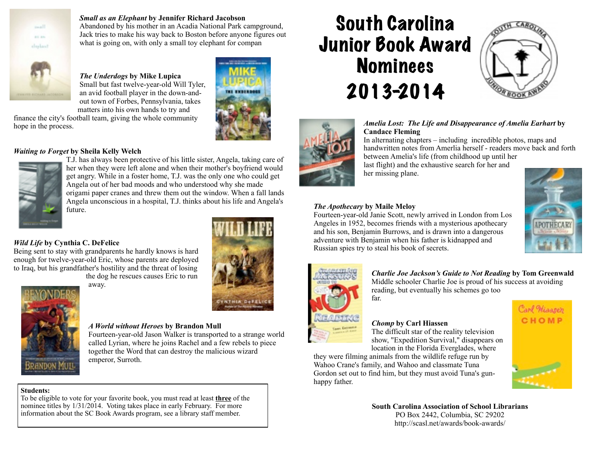

#### *Small as an Elephant* **by Jennifer Richard Jacobson**

Abandoned by his mother in an Acadia National Park campground, Jack tries to make his way back to Boston before anyone figures out what is going on, with only a small toy elephant for compan

*The Underdogs* **by Mike Lupica** Small but fast twelve-year-old Will Tyler, an avid football player in the down-andout town of Forbes, Pennsylvania, takes matters into his own hands to try and



#### finance the city's football team, giving the whole community hope in the process.

#### *Waiting to Forget* **by Sheila Kelly Welch**



T.J. has always been protective of his little sister, Angela, taking care of her when they were left alone and when their mother's boyfriend would get angry. While in a foster home, T.J. was the only one who could get Angela out of her bad moods and who understood why she made origami paper cranes and threw them out the window. When a fall lands Angela unconscious in a hospital, T.J. thinks about his life and Angela's future.

#### *Wild Life* **by Cynthia C. DeFelice**

Being sent to stay with grandparents he hardly knows is hard enough for twelve-year-old Eric, whose parents are deployed to Iraq, but his grandfather's hostility and the threat of losing

the dog he rescues causes Eric to run away.





#### *A World without Heroes* **by Brandon Mull**

Fourteen-year-old Jason Walker is transported to a strange world called Lyrian, where he joins Rachel and a few rebels to piece together the Word that can destroy the malicious wizard emperor, Surroth.

### **Students:**

To be eligible to vote for your favorite book, you must read at least **three** of the nominee titles by 1/31/2014. Voting takes place in early February. For more information about the SC Book Awards program, see a library staff member.

# South Carolina Junior Book Award **Nominees** 2013-2014



#### *Amelia Lost: The Life and Disappearance of Amelia Earhart* **by Candace Fleming**

In alternating chapters – including incredible photos, maps and handwritten notes from Amerlia herself - readers move back and forth between Amelia's life (from childhood up until her last flight) and the exhaustive search for her and

her missing plane.

#### *The Apothecary* **by Maile Meloy**

far.

Fourteen-year-old Janie Scott, newly arrived in London from Los Angeles in 1952, becomes friends with a mysterious apothecary and his son, Benjamin Burrows, and is drawn into a dangerous adventure with Benjamin when his father is kidnapped and Russian spies try to steal his book of secrets.





*Charlie Joe Jackson's Guide to Not Reading* **by Tom Greenwald** Middle schooler Charlie Joe is proud of his success at avoiding reading, but eventually his schemes go too

### *Chomp* **by Carl Hiassen**

The difficult star of the reality television show, "Expedition Survival," disappears on location in the Florida Everglades, where

they were filming animals from the wildlife refuge run by Wahoo Crane's family, and Wahoo and classmate Tuna Gordon set out to find him, but they must avoid Tuna's gunhappy father.





**South Carolina Association of School Librarians** PO Box 2442, Columbia, SC 29202 http://scasl.net/awards/book-awards/